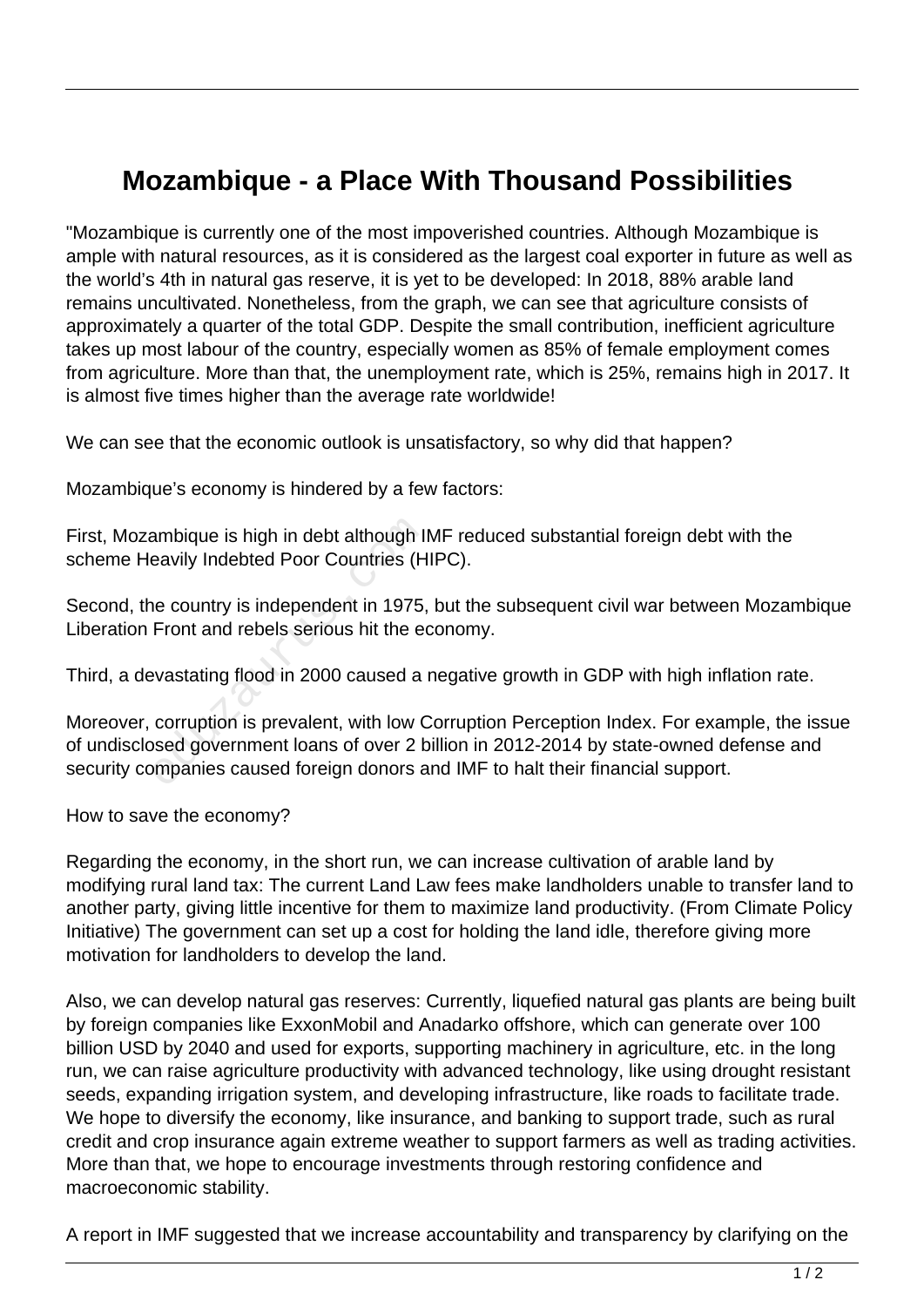## **Mozambique - a Place With Thousand Possibilities**

"Mozambique is currently one of the most impoverished countries. Although Mozambique is ample with natural resources, as it is considered as the largest coal exporter in future as well as the world's 4th in natural gas reserve, it is yet to be developed: In 2018, 88% arable land remains uncultivated. Nonetheless, from the graph, we can see that agriculture consists of approximately a quarter of the total GDP. Despite the small contribution, inefficient agriculture takes up most labour of the country, especially women as 85% of female employment comes from agriculture. More than that, the unemployment rate, which is 25%, remains high in 2017. It is almost five times higher than the average rate worldwide!

We can see that the economic outlook is unsatisfactory, so why did that happen?

Mozambique's economy is hindered by a few factors:

First, Mozambique is high in debt although IMF reduced substantial foreign debt with the scheme Heavily Indebted Poor Countries (HIPC).

Second, the country is independent in 1975, but the subsequent civil war between Mozambique Liberation Front and rebels serious hit the economy.

Third, a devastating flood in 2000 caused a negative growth in GDP with high inflation rate.

Moreover, corruption is prevalent, with low Corruption Perception Index. For example, the issue of undisclosed government loans of over 2 billion in 2012-2014 by state-owned defense and security companies caused foreign donors and IMF to halt their financial support. ambique is high in debt although II<br>eavily Indebted Poor Countries (H<br>ne country is independent in 1975,<br>Front and rebels serious hit the ea<br>evastating flood in 2000 caused a<br>corruption is prevalent, with low C<br>sed governm

How to save the economy?

Regarding the economy, in the short run, we can increase cultivation of arable land by modifying rural land tax: The current Land Law fees make landholders unable to transfer land to another party, giving little incentive for them to maximize land productivity. (From Climate Policy Initiative) The government can set up a cost for holding the land idle, therefore giving more motivation for landholders to develop the land.

Also, we can develop natural gas reserves: Currently, liquefied natural gas plants are being built by foreign companies like ExxonMobil and Anadarko offshore, which can generate over 100 billion USD by 2040 and used for exports, supporting machinery in agriculture, etc. in the long run, we can raise agriculture productivity with advanced technology, like using drought resistant seeds, expanding irrigation system, and developing infrastructure, like roads to facilitate trade. We hope to diversify the economy, like insurance, and banking to support trade, such as rural credit and crop insurance again extreme weather to support farmers as well as trading activities. More than that, we hope to encourage investments through restoring confidence and macroeconomic stability.

A report in IMF suggested that we increase accountability and transparency by clarifying on the